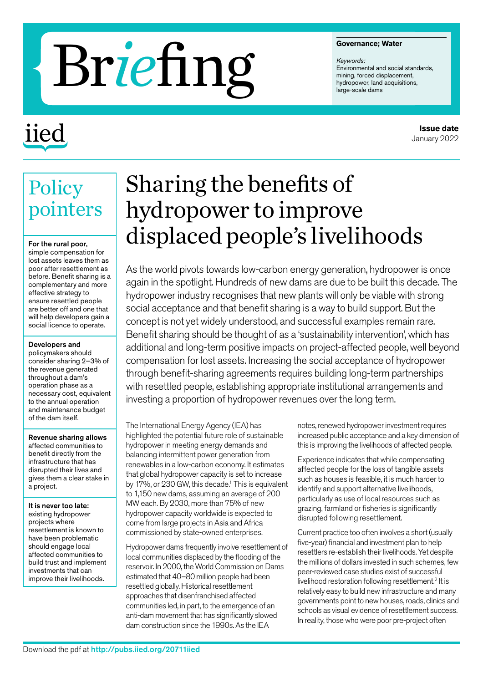#### **Governance; Water**

*Keywords:* Environmental and social standards, mining, forced displacement,

# Governance; Water<br> **Range-scale dams**<br>
Environmental and social stand<br>
mining, forced displacement,<br>
hydropower, land acquisitions,<br>
large-scale dams

# iied

**Policy** 

For the rural poor, simple compensation for lost assets leaves them as poor after resettlement as before. Benefit sharing is a complementary and more effective strategy to ensure resettled people are better off and one that will help developers gain a social licence to operate.

Developers and policymakers should consider sharing 2–3% of the revenue generated throughout a dam's operation phase as a necessary cost, equivalent to the annual operation and maintenance budget of the dam itself.

Revenue sharing allows affected communities to benefit directly from the infrastructure that has disrupted their lives and gives them a clear stake in

a project.

It is never too late: existing hydropower projects where

resettlement is known to have been problematic should engage local affected communities to build trust and implement investments that can improve their livelihoods.

pointers

# Sharing the benefits of hydropower to improve displaced people's livelihoods

As the world pivots towards low-carbon energy generation, hydropower is once again in the spotlight. Hundreds of new dams are due to be built this decade. The hydropower industry recognises that new plants will only be viable with strong social acceptance and that benefit sharing is a way to build support. But the concept is not yet widely understood, and successful examples remain rare. Benefit sharing should be thought of as a 'sustainability intervention', which has additional and long-term positive impacts on project-affected people, well beyond compensation for lost assets. Increasing the social acceptance of hydropower through benefit-sharing agreements requires building long-term partnerships with resettled people, establishing appropriate institutional arrangements and investing a proportion of hydropower revenues over the long term.

The International Energy Agency (IEA) has highlighted the potential future role of sustainable hydropower in meeting energy demands and balancing intermittent power generation from renewables in a low-carbon economy. It estimates that global hydropower capacity is set to increase by 17%, or 230 GW, this decade.<sup>1</sup> This is equivalent to 1,150 new dams, assuming an average of 200 MW each. By 2030, more than 75% of new hydropower capacity worldwide is expected to come from large projects in Asia and Africa commissioned by state-owned enterprises.

Hydropower dams frequently involve resettlement of local communities displaced by the flooding of the reservoir. In 2000, the World Commission on Dams estimated that 40–80 million people had been resettled globally. Historical resettlement approaches that disenfranchised affected communities led, in part, to the emergence of an anti-dam movement that has significantly slowed dam construction since the 1990s. As the IEA

notes, renewed hydropower investment requires increased public acceptance and a key dimension of this is improving the livelihoods of affected people.

Experience indicates that while compensating affected people for the loss of tangible assets such as houses is feasible, it is much harder to identify and support alternative livelihoods, particularly as use of local resources such as grazing, farmland or fisheries is significantly disrupted following resettlement.

Current practice too often involves a short (usually five-year) financial and investment plan to help resettlers re-establish their livelihoods. Yet despite the millions of dollars invested in such schemes, few peer-reviewed case studies exist of successful livelihood restoration following resettlement.<sup>2</sup> It is relatively easy to build new infrastructure and many governments point to new houses, roads, clinics and schools as visual evidence of resettlement success. In reality, those who were poor pre-project often

### **Issue date** January 2022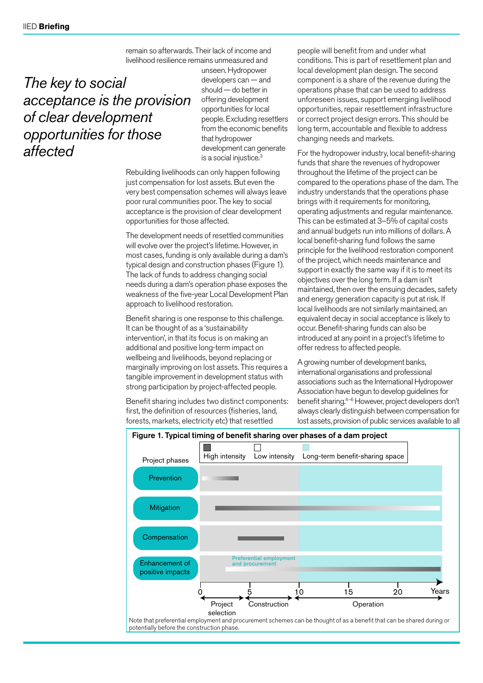remain so afterwards. Their lack of income and livelihood resilience remains unmeasured and

*The key to social acceptance is the provision of clear development opportunities for those affected*

unseen. Hydropower developers can — and should — do better in offering development opportunities for local people. Excluding resettlers from the economic benefits that hydropower development can generate is a social injustice.<sup>3</sup>

Rebuilding livelihoods can only happen following just compensation for lost assets. But even the very best compensation schemes will always leave poor rural communities poor. The key to social acceptance is the provision of clear development opportunities for those affected.

The development needs of resettled communities will evolve over the project's lifetime. However, in most cases, funding is only available during a dam's typical design and construction phases (Figure 1). The lack of funds to address changing social needs during a dam's operation phase exposes the weakness of the five-year Local Development Plan approach to livelihood restoration.

Benefit sharing is one response to this challenge. It can be thought of as a 'sustainability intervention', in that its focus is on making an additional and positive long-term impact on wellbeing and livelihoods, beyond replacing or marginally improving on lost assets. This requires a tangible improvement in development status with strong participation by project-affected people.

Benefit sharing includes two distinct components: first, the definition of resources (fisheries, land, forests, markets, electricity etc) that resettled

people will benefit from and under what conditions. This is part of resettlement plan and local development plan design. The second component is a share of the revenue during the operations phase that can be used to address unforeseen issues, support emerging livelihood opportunities, repair resettlement infrastructure or correct project design errors. This should be long term, accountable and flexible to address changing needs and markets.

For the hydropower industry, local benefit-sharing funds that share the revenues of hydropower throughout the lifetime of the project can be compared to the operations phase of the dam. The industry understands that the operations phase brings with it requirements for monitoring, operating adjustments and regular maintenance. This can be estimated at 3–5% of capital costs and annual budgets run into millions of dollars. A local benefit-sharing fund follows the same principle for the livelihood restoration component of the project, which needs maintenance and support in exactly the same way if it is to meet its objectives over the long term. If a dam isn't maintained, then over the ensuing decades, safety and energy generation capacity is put at risk. If local livelihoods are not similarly maintained, an equivalent decay in social acceptance is likely to occur. Benefit-sharing funds can also be introduced at any point in a project's lifetime to offer redress to affected people.

A growing number of development banks, international organisations and professional associations such as the International Hydropower Association have begun to develop guidelines for benefit sharing.4–6 However, project developers don't always clearly distinguish between compensation for lost assets, provision of public services available to all

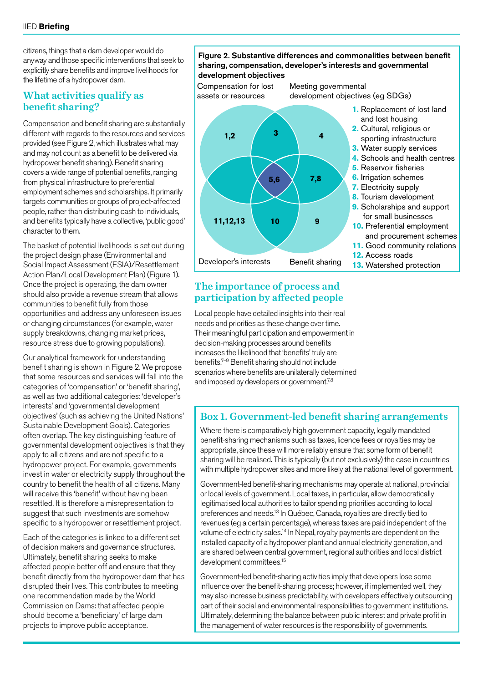citizens, things that a dam developer would do anyway and those specific interventions that seek to explicitly share benefits and improve livelihoods for the lifetime of a hydropower dam.

## What activities qualify as benefit sharing?

Compensation and benefit sharing are substantially different with regards to the resources and services provided (see Figure 2, which illustrates what may and may not count as a benefit to be delivered via hydropower benefit sharing). Benefit sharing covers a wide range of potential benefits, ranging from physical infrastructure to preferential employment schemes and scholarships. It primarily targets communities or groups of project-affected people, rather than distributing cash to individuals, and benefits typically have a collective, 'public good' character to them.

The basket of potential livelihoods is set out during the project design phase (Environmental and Social Impact Assessment (ESIA)/Resettlement Action Plan/Local Development Plan) (Figure 1). Once the project is operating, the dam owner should also provide a revenue stream that allows communities to benefit fully from those opportunities and address any unforeseen issues or changing circumstances (for example, water supply breakdowns, changing market prices, resource stress due to growing populations).

Our analytical framework for understanding benefit sharing is shown in Figure 2. We propose that some resources and services will fall into the categories of 'compensation' or 'benefit sharing', as well as two additional categories: 'developer's interests' and 'governmental development objectives' (such as achieving the United Nations' Sustainable Development Goals). Categories often overlap. The key distinguishing feature of governmental development objectives is that they apply to all citizens and are not specific to a hydropower project. For example, governments invest in water or electricity supply throughout the country to benefit the health of all citizens. Many will receive this 'benefit' without having been resettled. It is therefore a misrepresentation to suggest that such investments are somehow specific to a hydropower or resettlement project.

Each of the categories is linked to a different set of decision makers and governance structures. Ultimately, benefit sharing seeks to make affected people better off and ensure that they benefit directly from the hydropower dam that has disrupted their lives. This contributes to meeting one recommendation made by the World Commission on Dams: that affected people should become a 'beneficiary' of large dam projects to improve public acceptance.

#### Figure 2. Substantive differences and commonalities between benefit sharing, compensation, developer's interests and governmental development objectives

**3 4**

**10 9**

**5,6 7,8**

Compensation for lost assets or resources

**1,2**

**11,12,13**

Meeting governmental development objectives (eg SDGs)

- **1.** Replacement of lost land and lost housing
- **2.** Cultural, religious or sporting infrastructure
- **3.** Water supply services
- **4.** Schools and health centres
- **5.** Reservoir fisheries
- **6.** Irrigation schemes
- **7.** Electricity supply
- **8.** Tourism development **9.** Scholarships and support
- for small businesses **10.** Preferential employment
	- and procurement schemes
- **11.** Good community relations **12.** Access roads
- **Developer's interests** Benefit sharing **13.** Watershed protection

# The importance of process and participation by affected people

Local people have detailed insights into their real needs and priorities as these change over time. Their meaningful participation and empowerment in decision-making processes around benefits increases the likelihood that 'benefits' truly are benefits.7–9 Benefit sharing should not include scenarios where benefits are unilaterally determined and imposed by developers or government.<sup>7,8</sup>

# Box 1. Government-led benefit sharing arrangements

Where there is comparatively high government capacity, legally mandated benefit-sharing mechanisms such as taxes, licence fees or royalties may be appropriate, since these will more reliably ensure that some form of benefit sharing will be realised. This is typically (but not exclusively) the case in countries with multiple hydropower sites and more likely at the national level of government.

Government-led benefit-sharing mechanisms may operate at national, provincial or local levels of government. Local taxes, in particular, allow democratically legitimatised local authorities to tailor spending priorities according to local preferences and needs.13 In Québec, Canada, royalties are directly tied to revenues (eg a certain percentage), whereas taxes are paid independent of the volume of electricity sales.14 In Nepal, royalty payments are dependent on the installed capacity of a hydropower plant and annual electricity generation, and are shared between central government, regional authorities and local district development committees.<sup>15</sup>

Government-led benefit-sharing activities imply that developers lose some influence over the benefit-sharing process; however, if implemented well, they may also increase business predictability, with developers effectively outsourcing part of their social and environmental responsibilities to government institutions. Ultimately, determining the balance between public interest and private profit in the management of water resources is the responsibility of governments.